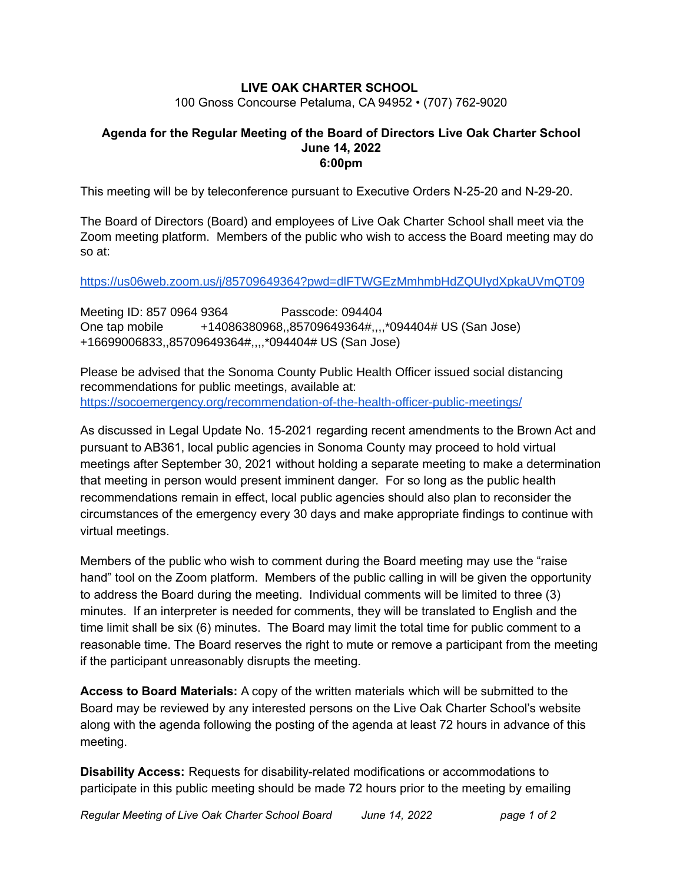# **LIVE OAK CHARTER SCHOOL**

100 Gnoss Concourse Petaluma, CA 94952 • (707) 762-9020

# **Agenda for the Regular Meeting of the Board of Directors Live Oak Charter School June 14, 2022 6:00pm**

This meeting will be by teleconference pursuant to Executive Orders N-25-20 and N-29-20.

The Board of Directors (Board) and employees of Live Oak Charter School shall meet via the Zoom meeting platform. Members of the public who wish to access the Board meeting may do so at:

<https://us06web.zoom.us/j/85709649364?pwd=dlFTWGEzMmhmbHdZQUIydXpkaUVmQT09>

Meeting ID: 857 0964 9364 Passcode: 094404 One tap mobile +14086380968,,85709649364#,,,,\*094404# US (San Jose) +16699006833,,85709649364#,,,,\*094404# US (San Jose)

Please be advised that the Sonoma County Public Health Officer issued social distancing recommendations for public meetings, available at: <https://socoemergency.org/recommendation-of-the-health-officer-public-meetings/>

As discussed in Legal Update No. 15-2021 regarding recent amendments to the Brown Act and pursuant to AB361, local public agencies in Sonoma County may proceed to hold virtual meetings after September 30, 2021 without holding a separate meeting to make a determination that meeting in person would present imminent danger. For so long as the public health recommendations remain in effect, local public agencies should also plan to reconsider the circumstances of the emergency every 30 days and make appropriate findings to continue with virtual meetings.

Members of the public who wish to comment during the Board meeting may use the "raise hand" tool on the Zoom platform. Members of the public calling in will be given the opportunity to address the Board during the meeting. Individual comments will be limited to three (3) minutes. If an interpreter is needed for comments, they will be translated to English and the time limit shall be six (6) minutes. The Board may limit the total time for public comment to a reasonable time. The Board reserves the right to mute or remove a participant from the meeting if the participant unreasonably disrupts the meeting.

**Access to Board Materials:** A copy of the written materials which will be submitted to the Board may be reviewed by any interested persons on the Live Oak Charter School's website along with the agenda following the posting of the agenda at least 72 hours in advance of this meeting.

**Disability Access:** Requests for disability-related modifications or accommodations to participate in this public meeting should be made 72 hours prior to the meeting by emailing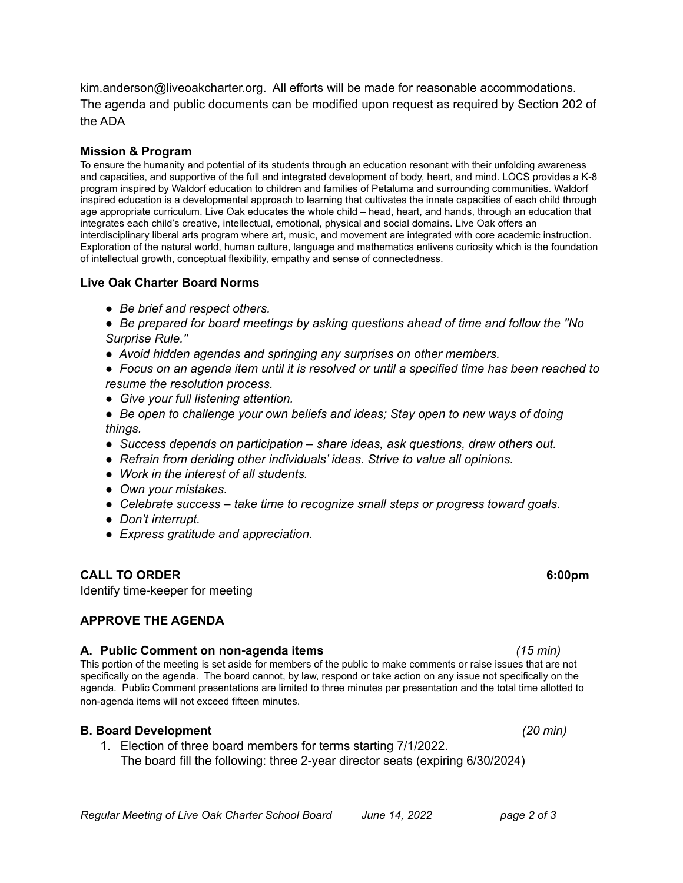kim.anderson@liveoakcharter.org. All efforts will be made for reasonable accommodations. The agenda and public documents can be modified upon request as required by Section 202 of the ADA

### **Mission & Program**

To ensure the humanity and potential of its students through an education resonant with their unfolding awareness and capacities, and supportive of the full and integrated development of body, heart, and mind. LOCS provides a K-8 program inspired by Waldorf education to children and families of Petaluma and surrounding communities. Waldorf inspired education is a developmental approach to learning that cultivates the innate capacities of each child through age appropriate curriculum. Live Oak educates the whole child – head, heart, and hands, through an education that integrates each child's creative, intellectual, emotional, physical and social domains. Live Oak offers an interdisciplinary liberal arts program where art, music, and movement are integrated with core academic instruction. Exploration of the natural world, human culture, language and mathematics enlivens curiosity which is the foundation of intellectual growth, conceptual flexibility, empathy and sense of connectedness.

### **Live Oak Charter Board Norms**

*● Be brief and respect others.*

*● Be prepared for board meetings by asking questions ahead of time and follow the "No Surprise Rule."*

- *● Avoid hidden agendas and springing any surprises on other members.*
- Focus on an agenda item until it is resolved or until a specified time has been reached to *resume the resolution process.*
- *● Give your full listening attention.*
- *● Be open to challenge your own beliefs and ideas; Stay open to new ways of doing things.*
- *● Success depends on participation – share ideas, ask questions, draw others out.*
- *● Refrain from deriding other individuals' ideas. Strive to value all opinions.*
- *● Work in the interest of all students.*
- *● Own your mistakes.*
- *● Celebrate success – take time to recognize small steps or progress toward goals.*
- *● Don't interrupt.*
- *● Express gratitude and appreciation.*

### **CALL TO ORDER 6:00pm**

Identify time-keeper for meeting

## **APPROVE THE AGENDA**

### **A. Public Comment on non-agenda items** *(15 min)*

This portion of the meeting is set aside for members of the public to make comments or raise issues that are not specifically on the agenda. The board cannot, by law, respond or take action on any issue not specifically on the agenda. Public Comment presentations are limited to three minutes per presentation and the total time allotted to non-agenda items will not exceed fifteen minutes.

## **B. Board Development** *(20 min)*

1. Election of three board members for terms starting 7/1/2022. The board fill the following: three 2-year director seats (expiring 6/30/2024)